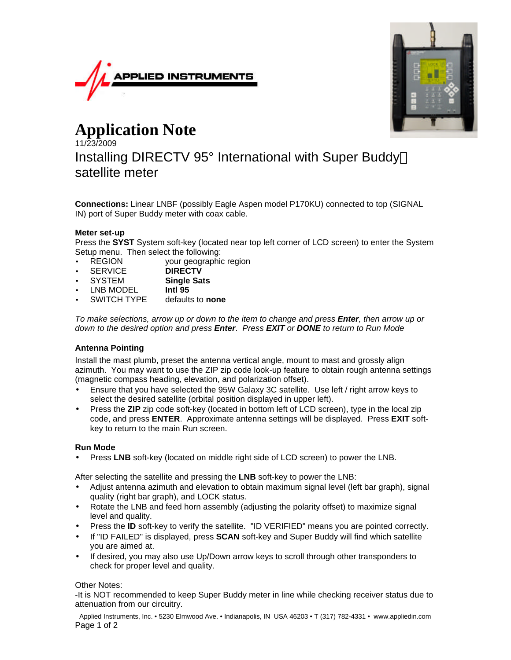



## **Application Note**

11/23/2009 Installing DIRECTV 95° International with Super Buddy satellite meter

**Connections:** Linear LNBF (possibly Eagle Aspen model P170KU) connected to top (SIGNAL IN) port of Super Buddy meter with coax cable.

## **Meter set-up**

Press the **SYST** System soft-key (located near top left corner of LCD screen) to enter the System Setup menu. Then select the following:

- REGION your geographic region
- SERVICE **DIRECTV**
- SYSTEM **Single Sats**
- LNB MODEL **Intl 95**
- SWITCH TYPE defaults to **none**

*To make selections, arrow up or down to the item to change and press Enter, then arrow up or down to the desired option and press Enter*. *Press EXIT or DONE to return to Run Mode*

## **Antenna Pointing**

Install the mast plumb, preset the antenna vertical angle, mount to mast and grossly align azimuth. You may want to use the ZIP zip code look-up feature to obtain rough antenna settings (magnetic compass heading, elevation, and polarization offset).

- Ensure that you have selected the 95W Galaxy 3C satellite. Use left / right arrow keys to select the desired satellite (orbital position displayed in upper left).
- Press the **ZIP** zip code soft-key (located in bottom left of LCD screen), type in the local zip code, and press **ENTER**. Approximate antenna settings will be displayed. Press **EXIT** softkey to return to the main Run screen.

## **Run Mode**

• Press **LNB** soft-key (located on middle right side of LCD screen) to power the LNB.

After selecting the satellite and pressing the **LNB** soft-key to power the LNB:

- Adjust antenna azimuth and elevation to obtain maximum signal level (left bar graph), signal quality (right bar graph), and LOCK status.
- Rotate the LNB and feed horn assembly (adjusting the polarity offset) to maximize signal level and quality.
- Press the **ID** soft-key to verify the satellite. "ID VERIFIED" means you are pointed correctly.
- If "ID FAILED" is displayed, press **SCAN** soft-key and Super Buddy will find which satellite you are aimed at.
- If desired, you may also use Up/Down arrow keys to scroll through other transponders to check for proper level and quality.

Other Notes:

-It is NOT recommended to keep Super Buddy meter in line while checking receiver status due to attenuation from our circuitry.

Applied Instruments, Inc. • 5230 Elmwood Ave. • Indianapolis, IN USA 46203 • T (317) 782-4331 • www.appliedin.com Page 1 of 2